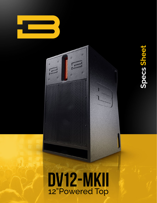

### DV12-MKII 12"Powered Top

Ô

 $\overline{C}$ 

 $\widehat{c}$ 

Ô

G

# Specs Sheet **Specs Sheet**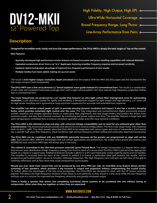

High Fidelity, High Output, High SPL o-

Ultra-Wide Horizontal Coverage o-

Broad Frequency Range, Long Throw o

Line-Array Performance from Pairs o-

#### **Description:**

**Designed for incredible sonic clarity and true full-range performance, the DV12-MKII is simply the best single 12" top on the market.**

**New features:**

- **Specially-developed high-performance woofer features increased excursion and power handling capabilities with reduced distortion.**
- **Upgraded compression driver from a 2.5" to 3" diaphragm, featuring smoother frequency response and increased sensitivity.**
- **Updated cabinet tuning takes advantage of improved low-frequency performance of new woofer.**
- **Multiple handles have been added, making set-up even easier.**

The result is **even higher output, resolution, depth and detail** than the original. With the MKII, the DV12 again sets the standard for the full-range compact main loudspeaker.

**The DV12-MKII uses a line-array derived 1.4" throat isophasic wave guide instead of a conventional horn.** The result is a combination of very wide and consistent horizontal coverage (120°) with a tight vertical pattern (20°) that extends high frequency projection farther than a conventional horn.

**The lower frequencies are produced by a 12" woofer that features an ultra-light carbon-fiber impregnated cone for outstanding resolution,** a cast aluminum basket for rigidity and reliability, a Neodymium magnet for light weight and high efficiency, a 4" voice coil for high power handling and a symmetrical, long-excursion suspension for accurate and extended bass response.

**The amplifier can deliver output peaks of 150V, to provide amazing dynamic resolution and impact. It also has a 10,000:1 damping factor, which provides extremely tight control over the cone.** The fully integrated and comprehensive digital processing ensures smooth response and reliable operation thanks to meticulous filter alignments and dual stage limiters that protect the drivers from excessive peaks, and also from thermal overload, by monitoring real power output over time. The amplifier features a large heat sink and 2 temperature-controlled fans to ensure consistent operation under even the most extreme conditions.

**The DV12-MKII is the ultimate in plug and play, with universal voltage compatibility and no need for any outboard gear other than a sound source.** The processing features presets that allow it to run in several configurations. The first is full-range mode, with response down to 40Hz (-3dB). The other presets allow the DV12-MKII to be integrated with various types and sizes of subwoofers. Each preset has a specific high-pass filter frequency, input sensitivity, high and low frequency limiter setting and subwoofer alignment processing.

**The DV12-MKII can be combined with any BASSBOSS subwoofer because all the presets are programmed to align with all the subs.** Each preset offers different advantages that suit certain applications and preferences. No matter which preset you choose, your BASSBOSS subs and DV12-MKII tops will always play in harmony.

**The cabinet is assembled in the USA from premium selected 15mm Finland Birch.** The design incorporates a 4-degree down-angle that ensures even distribution of high-frequency energy from front-to-back of a venue when the DV12-MKII is placed at the appropriate height on a tripod or support pole. Additional features include a 38mm (1-3/8") cast metal pole socket, eight fly points and six handles. The amplifier is recessed from the back of the cabinet to protect it in transit. A perforated steel grill protects the woofer, and it's progressive perforation pattern serves to broaden midrange dispersion. The high-frequency lens and port are left clear of the grill to minimize reflections and air flow noise that could compromise sound quality.

**Should you ever need more sound than can be produced by one DV12-MKII per side, its invertible array feature allows perfect summing of two speakers, which provides a big increase in output and projection without compromising the crystal clarity.** To further utilize the advantages of the line-array waveguides, the DV12-MKIIs are designed to stack with the HF lenses vertically aligned. This allows the high-frequency sections of two boxes to sum perfectly as they would in a line-array while the low-frequency sections sum in a column for improved low-frequency directivity and greatly increased output.

**There is finally a speaker that allows two completely functional stereo systems to be combined into one without having to compromise, either when they are together, or when they are separated.**

#### **www.bassboss.com**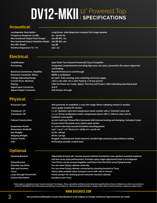## **DV12-MKII** <sup>12" Powered Top</sup>

#### **Acoustical**

| <b>Loudspeaker Description:</b>                       | Long throw, wide dispersion compact full-range speaker |
|-------------------------------------------------------|--------------------------------------------------------|
| Frequency Response (±3 dB):                           | 40 - 19,000 Hz                                         |
| <b>Max Sustained Output (Full-Range):</b>             | 120 dB SPL, 1m                                         |
| Max Sustained Output (Satellite-Mode): 126 dB SPL, 1m |                                                        |
| Max SPL (Peak)*:                                      | 134 dB                                                 |
| Nominal Dispersion (°H x °V):                         | 120 X 20                                               |

#### **Electrical**

| <b>Amplification:</b>                    | 3000 Watt Two-Channel Powersoft Class D Amplifier                                                      |
|------------------------------------------|--------------------------------------------------------------------------------------------------------|
| <b>Processing:</b>                       | Integrated comprehensive including high-pass, low-pass, parametric EQ, phase alignment<br>and limiting |
| <b>Electrical Connectors, Amplifier:</b> | Neutrik Powercon in and through                                                                        |
| <b>Electrical Connector, Mains:</b>      | NEMA 5-15 (Edison)                                                                                     |
| <b>Voltage Operating Range:</b>          | 90-250V. Auto-sensing, auto switching universal supply                                                 |
| <b>Current Draw, Nominal:</b>            | 3.6A @ 120 volts, 2A @ 220V (typical, 1/8 max power)                                                   |
| Display:                                 | LEDs for Power on/ready, Signal, Thermal and Protect. LEDs indicating selected preset                  |
| <b>Signal Input Connector:</b>           | <b>XLR-F</b>                                                                                           |
| <b>Signal Output Connector:</b>          | <b>XLR-M pass-through</b>                                                                              |

#### **Physical**

| <b>Enclosure Type:</b>       | Self-powered, bi-amplified, 2-way full-range. Direct radiating vented LF section,<br>wave-quide-loaded HF section |
|------------------------------|-------------------------------------------------------------------------------------------------------------------|
| <b>Transducer, LF:</b>       | 1 x 12" diameter (300 mm) neodymium motor woofer with 4" (100mm) voice coil                                       |
| <b>Transducer, HF:</b>       | 1 x 1.4" throat neodymium motor compression driver with 3" (76mm) voice coil on                                   |
|                              | isophasic wave quide                                                                                              |
| <b>Cabinet Construction:</b> | 15 mm multi-ply Finland Birch plywood with internal bracing and damping. Includes 8 steel                         |
|                              | braced 10mm fly points and a 35mm pole socket                                                                     |
| <b>Suspension Points:</b>    | 8 x 10mm internally braced threaded mounting points                                                               |
| Dimensions (HxWxD):          | 24.5" x 14.5" x 17" (62.23 cm x 36.83 cm x 43.18 cm)                                                              |
| Net Weight:                  | 63 lbs. (28 kg)                                                                                                   |
| <b>Shipping Weight:</b>      | 68 lbs. (30 kg)                                                                                                   |
| <b>Exterior Finish:</b>      | Rugged, weatherproof, black textured, bonded high-pressure polyurethane coating                                   |
| Grill:                       | Perforated, powder coated steel                                                                                   |

#### **Optional**

| <b>Stacking Bracket:</b> |  |
|--------------------------|--|
|                          |  |

**Online Information: bassboss.com/dv12**

Adjustable bracket set, mounts second cabinet inverted for near-perfect summed response **and line-array style performance. Provides splay-angle adjustment from 0 to 8 degrees. Flying Bracket: Two DV12s can be arrayed together and flown from the DV12 array flying bracket.** Shoulder Eye Bolts: **For use when flying cabinets vertically Side-pull anchors: For use when flying cabinets connected by stacking bracket to Truss Cover: Heavy-duty padded nylon transport cover with velcro closure Loop-through PowerCON: Power jumper for chaining power between stacked cabinets**

"Peak output is calculated using "industry standard" techniques. These calculation methods create theoretical specifications that are inflated over what can actually be<br>achieved. BASSBOSS real world output specifications a

#### **www.bassboss.com**